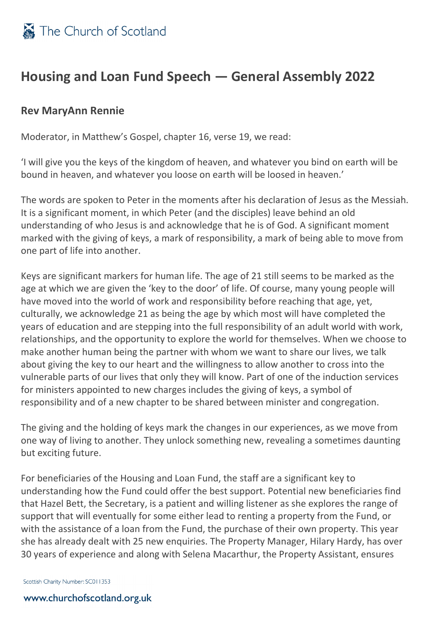

## **Housing and Loan Fund Speech — General Assembly 2022**

## **Rev MaryAnn Rennie**

Moderator, in Matthew's Gospel, chapter 16, verse 19, we read:

'I will give you the keys of the kingdom of heaven, and whatever you bind on earth will be bound in heaven, and whatever you loose on earth will be loosed in heaven.'

The words are spoken to Peter in the moments after his declaration of Jesus as the Messiah. It is a significant moment, in which Peter (and the disciples) leave behind an old understanding of who Jesus is and acknowledge that he is of God. A significant moment marked with the giving of keys, a mark of responsibility, a mark of being able to move from one part of life into another.

Keys are significant markers for human life. The age of 21 still seems to be marked as the age at which we are given the 'key to the door' of life. Of course, many young people will have moved into the world of work and responsibility before reaching that age, yet, culturally, we acknowledge 21 as being the age by which most will have completed the years of education and are stepping into the full responsibility of an adult world with work, relationships, and the opportunity to explore the world for themselves. When we choose to make another human being the partner with whom we want to share our lives, we talk about giving the key to our heart and the willingness to allow another to cross into the vulnerable parts of our lives that only they will know. Part of one of the induction services for ministers appointed to new charges includes the giving of keys, a symbol of responsibility and of a new chapter to be shared between minister and congregation.

The giving and the holding of keys mark the changes in our experiences, as we move from one way of living to another. They unlock something new, revealing a sometimes daunting but exciting future.

For beneficiaries of the Housing and Loan Fund, the staff are a significant key to understanding how the Fund could offer the best support. Potential new beneficiaries find that Hazel Bett, the Secretary, is a patient and willing listener as she explores the range of support that will eventually for some either lead to renting a property from the Fund, or with the assistance of a loan from the Fund, the purchase of their own property. This year she has already dealt with 25 new enquiries. The Property Manager, Hilary Hardy, has over 30 years of experience and along with Selena Macarthur, the Property Assistant, ensures

Scottish Charity Number: SC011353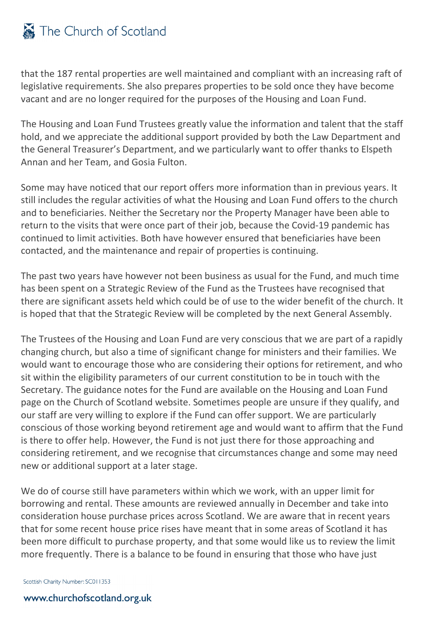## The Church of Scotland

that the 187 rental properties are well maintained and compliant with an increasing raft of legislative requirements. She also prepares properties to be sold once they have become vacant and are no longer required for the purposes of the Housing and Loan Fund.

The Housing and Loan Fund Trustees greatly value the information and talent that the staff hold, and we appreciate the additional support provided by both the Law Department and the General Treasurer's Department, and we particularly want to offer thanks to Elspeth Annan and her Team, and Gosia Fulton.

Some may have noticed that our report offers more information than in previous years. It still includes the regular activities of what the Housing and Loan Fund offers to the church and to beneficiaries. Neither the Secretary nor the Property Manager have been able to return to the visits that were once part of their job, because the Covid-19 pandemic has continued to limit activities. Both have however ensured that beneficiaries have been contacted, and the maintenance and repair of properties is continuing.

The past two years have however not been business as usual for the Fund, and much time has been spent on a Strategic Review of the Fund as the Trustees have recognised that there are significant assets held which could be of use to the wider benefit of the church. It is hoped that that the Strategic Review will be completed by the next General Assembly.

The Trustees of the Housing and Loan Fund are very conscious that we are part of a rapidly changing church, but also a time of significant change for ministers and their families. We would want to encourage those who are considering their options for retirement, and who sit within the eligibility parameters of our current constitution to be in touch with the Secretary. The guidance notes for the Fund are available on the Housing and Loan Fund page on the Church of Scotland website. Sometimes people are unsure if they qualify, and our staff are very willing to explore if the Fund can offer support. We are particularly conscious of those working beyond retirement age and would want to affirm that the Fund is there to offer help. However, the Fund is not just there for those approaching and considering retirement, and we recognise that circumstances change and some may need new or additional support at a later stage.

We do of course still have parameters within which we work, with an upper limit for borrowing and rental. These amounts are reviewed annually in December and take into consideration house purchase prices across Scotland. We are aware that in recent years that for some recent house price rises have meant that in some areas of Scotland it has been more difficult to purchase property, and that some would like us to review the limit more frequently. There is a balance to be found in ensuring that those who have just

Scottish Charity Number: SC011353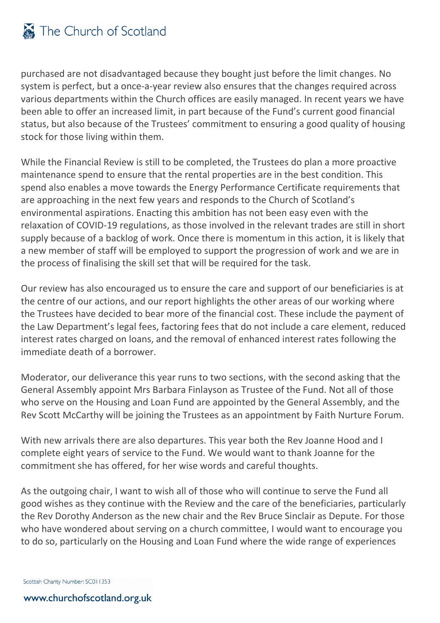purchased are not disadvantaged because they bought just before the limit changes. No system is perfect, but a once-a-year review also ensures that the changes required across various departments within the Church offices are easily managed. In recent years we have been able to offer an increased limit, in part because of the Fund's current good financial status, but also because of the Trustees' commitment to ensuring a good quality of housing stock for those living within them.

While the Financial Review is still to be completed, the Trustees do plan a more proactive maintenance spend to ensure that the rental properties are in the best condition. This spend also enables a move towards the Energy Performance Certificate requirements that are approaching in the next few years and responds to the Church of Scotland's environmental aspirations. Enacting this ambition has not been easy even with the relaxation of COVID-19 regulations, as those involved in the relevant trades are still in short supply because of a backlog of work. Once there is momentum in this action, it is likely that a new member of staff will be employed to support the progression of work and we are in the process of finalising the skill set that will be required for the task.

Our review has also encouraged us to ensure the care and support of our beneficiaries is at the centre of our actions, and our report highlights the other areas of our working where the Trustees have decided to bear more of the financial cost. These include the payment of the Law Department's legal fees, factoring fees that do not include a care element, reduced interest rates charged on loans, and the removal of enhanced interest rates following the immediate death of a borrower.

Moderator, our deliverance this year runs to two sections, with the second asking that the General Assembly appoint Mrs Barbara Finlayson as Trustee of the Fund. Not all of those who serve on the Housing and Loan Fund are appointed by the General Assembly, and the Rev Scott McCarthy will be joining the Trustees as an appointment by Faith Nurture Forum.

With new arrivals there are also departures. This year both the Rev Joanne Hood and I complete eight years of service to the Fund. We would want to thank Joanne for the commitment she has offered, for her wise words and careful thoughts.

As the outgoing chair, I want to wish all of those who will continue to serve the Fund all good wishes as they continue with the Review and the care of the beneficiaries, particularly the Rev Dorothy Anderson as the new chair and the Rev Bruce Sinclair as Depute. For those who have wondered about serving on a church committee, I would want to encourage you to do so, particularly on the Housing and Loan Fund where the wide range of experiences

Scottish Charity Number: SC011353